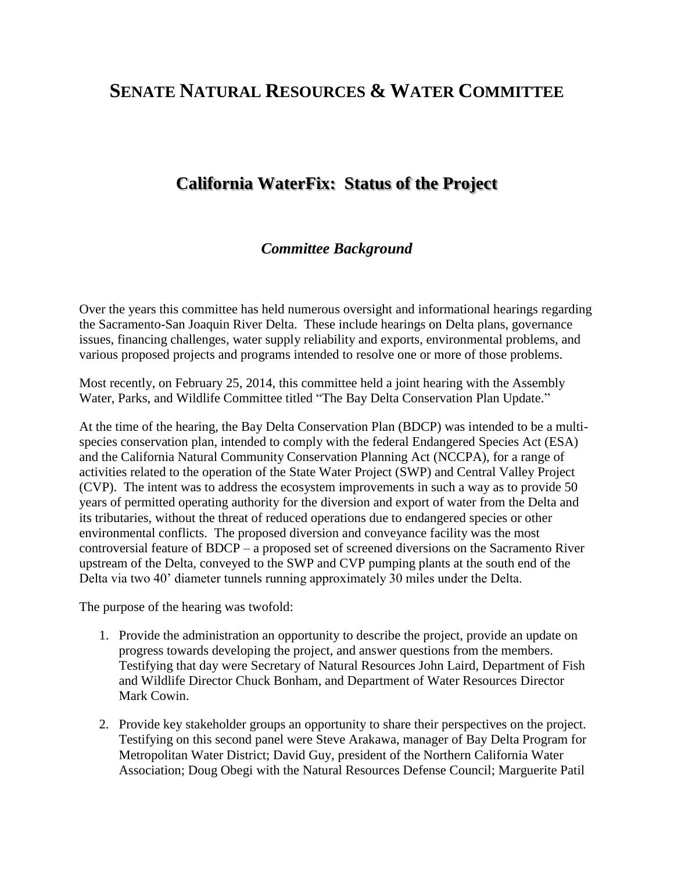# **SENATE NATURAL RESOURCES & WATER COMMITTEE**

# **California WaterFix: Status of the Project**

### *Committee Background*

Over the years this committee has held numerous oversight and informational hearings regarding the Sacramento-San Joaquin River Delta. These include hearings on Delta plans, governance issues, financing challenges, water supply reliability and exports, environmental problems, and various proposed projects and programs intended to resolve one or more of those problems.

Most recently, on February 25, 2014, this committee held a joint hearing with the Assembly Water, Parks, and Wildlife Committee titled "The Bay Delta Conservation Plan Update."

At the time of the hearing, the Bay Delta Conservation Plan (BDCP) was intended to be a multispecies conservation plan, intended to comply with the federal Endangered Species Act (ESA) and the California Natural Community Conservation Planning Act (NCCPA), for a range of activities related to the operation of the State Water Project (SWP) and Central Valley Project (CVP). The intent was to address the ecosystem improvements in such a way as to provide 50 years of permitted operating authority for the diversion and export of water from the Delta and its tributaries, without the threat of reduced operations due to endangered species or other environmental conflicts. The proposed diversion and conveyance facility was the most controversial feature of BDCP – a proposed set of screened diversions on the Sacramento River upstream of the Delta, conveyed to the SWP and CVP pumping plants at the south end of the Delta via two 40' diameter tunnels running approximately 30 miles under the Delta.

The purpose of the hearing was twofold:

- 1. Provide the administration an opportunity to describe the project, provide an update on progress towards developing the project, and answer questions from the members. Testifying that day were Secretary of Natural Resources John Laird, Department of Fish and Wildlife Director Chuck Bonham, and Department of Water Resources Director Mark Cowin.
- 2. Provide key stakeholder groups an opportunity to share their perspectives on the project. Testifying on this second panel were Steve Arakawa, manager of Bay Delta Program for Metropolitan Water District; David Guy, president of the Northern California Water Association; Doug Obegi with the Natural Resources Defense Council; Marguerite Patil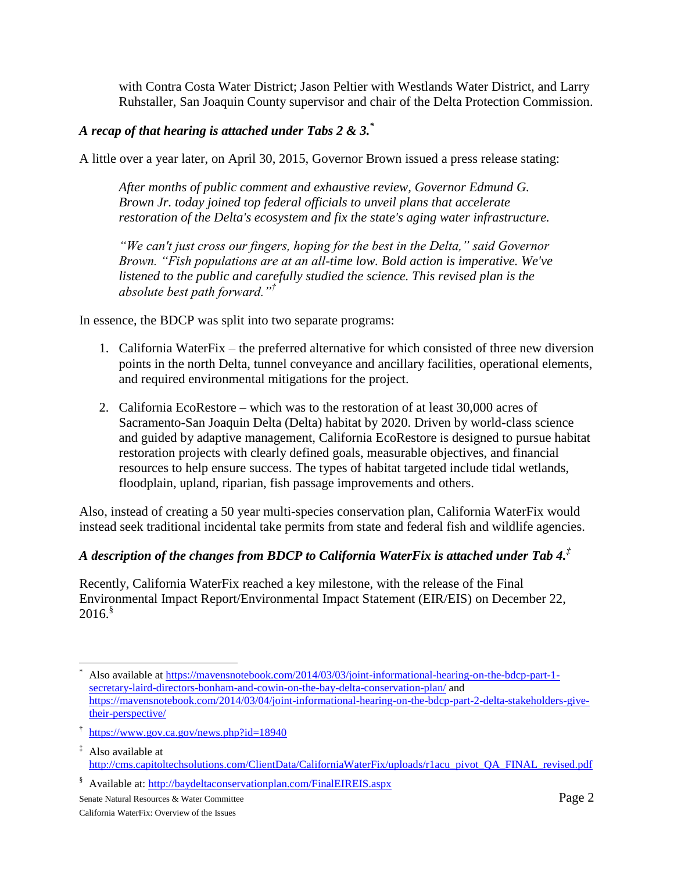with Contra Costa Water District; Jason Peltier with Westlands Water District, and Larry Ruhstaller, San Joaquin County supervisor and chair of the Delta Protection Commission.

### *A recap of that hearing is attached under Tabs 2 & 3. \**

A little over a year later, on April 30, 2015, Governor Brown issued a press release stating:

*After months of public comment and exhaustive review, Governor Edmund G. Brown Jr. today joined top federal officials to unveil plans that accelerate restoration of the Delta's ecosystem and fix the state's aging water infrastructure.*

*"We can't just cross our fingers, hoping for the best in the Delta," said Governor Brown. "Fish populations are at an all-time low. Bold action is imperative. We've*  listened to the public and carefully studied the science. This revised plan is the *absolute best path forward."†*

In essence, the BDCP was split into two separate programs:

- 1. California WaterFix the preferred alternative for which consisted of three new diversion points in the north Delta, tunnel conveyance and ancillary facilities, operational elements, and required environmental mitigations for the project.
- 2. California EcoRestore which was to the restoration of at least 30,000 acres of Sacramento-San Joaquin Delta (Delta) habitat by 2020. Driven by world-class science and guided by adaptive management, California EcoRestore is designed to pursue habitat restoration projects with clearly defined goals, measurable objectives, and financial resources to help ensure success. The types of habitat targeted include tidal wetlands, floodplain, upland, riparian, fish passage improvements and others.

Also, instead of creating a 50 year multi-species conservation plan, California WaterFix would instead seek traditional incidental take permits from state and federal fish and wildlife agencies.

### *A description of the changes from BDCP to California WaterFix is attached under Tab 4. ‡*

Recently, California WaterFix reached a key milestone, with the release of the Final Environmental Impact Report/Environmental Impact Statement (EIR/EIS) on December 22,  $2016.$  $^{\$}$ 

§ Available at:<http://baydeltaconservationplan.com/FinalEIREIS.aspx>

l Also available at [https://mavensnotebook.com/2014/03/03/joint-informational-hearing-on-the-bdcp-part-1](https://mavensnotebook.com/2014/03/03/joint-informational-hearing-on-the-bdcp-part-1-secretary-laird-directors-bonham-and-cowin-on-the-bay-delta-conservation-plan/) [secretary-laird-directors-bonham-and-cowin-on-the-bay-delta-conservation-plan/](https://mavensnotebook.com/2014/03/03/joint-informational-hearing-on-the-bdcp-part-1-secretary-laird-directors-bonham-and-cowin-on-the-bay-delta-conservation-plan/) and [https://mavensnotebook.com/2014/03/04/joint-informational-hearing-on-the-bdcp-part-2-delta-stakeholders-give](https://mavensnotebook.com/2014/03/04/joint-informational-hearing-on-the-bdcp-part-2-delta-stakeholders-give-their-perspective/)[their-perspective/](https://mavensnotebook.com/2014/03/04/joint-informational-hearing-on-the-bdcp-part-2-delta-stakeholders-give-their-perspective/)

<sup>†</sup> <https://www.gov.ca.gov/news.php?id=18940>

<sup>‡</sup> Also available at [http://cms.capitoltechsolutions.com/ClientData/CaliforniaWaterFix/uploads/r1acu\\_pivot\\_QA\\_FINAL\\_revised.pdf](http://cms.capitoltechsolutions.com/ClientData/CaliforniaWaterFix/uploads/r1acu_pivot_QA_FINAL_revised.pdf)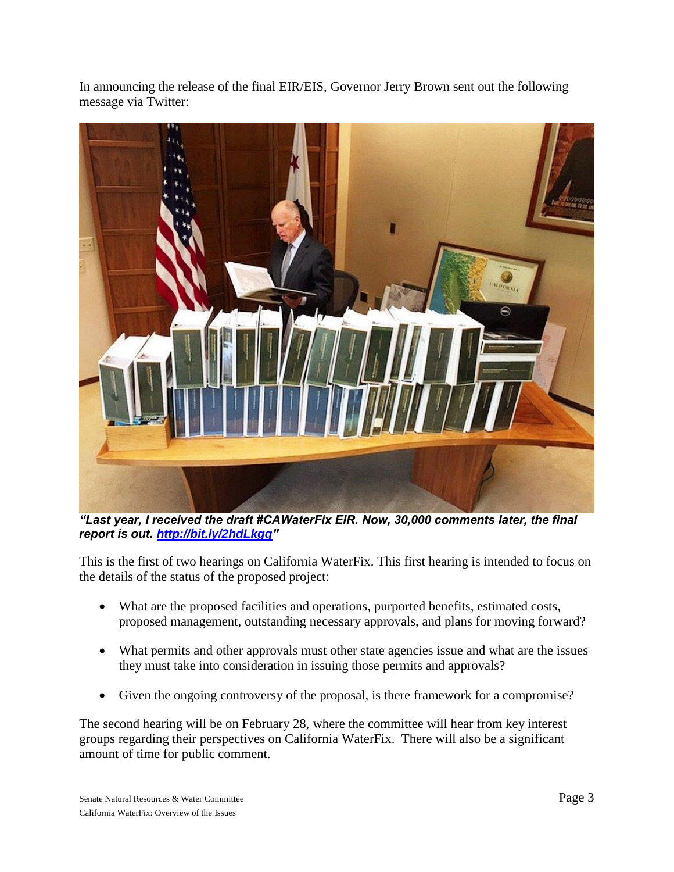In announcing the release of the final EIR/EIS, Governor Jerry Brown sent out the following message via Twitter:



*"Last year, I received the draft #CAWaterFix EIR. Now, 30,000 comments later, the final report is out. [http://bit.ly/2hdLkgq"](http://bit.ly/2hdLkgq)*

This is the first of two hearings on California WaterFix. This first hearing is intended to focus on the details of the status of the proposed project:

- What are the proposed facilities and operations, purported benefits, estimated costs, proposed management, outstanding necessary approvals, and plans for moving forward?
- What permits and other approvals must other state agencies issue and what are the issues they must take into consideration in issuing those permits and approvals?
- Given the ongoing controversy of the proposal, is there framework for a compromise?

The second hearing will be on February 28, where the committee will hear from key interest groups regarding their perspectives on California WaterFix. There will also be a significant amount of time for public comment.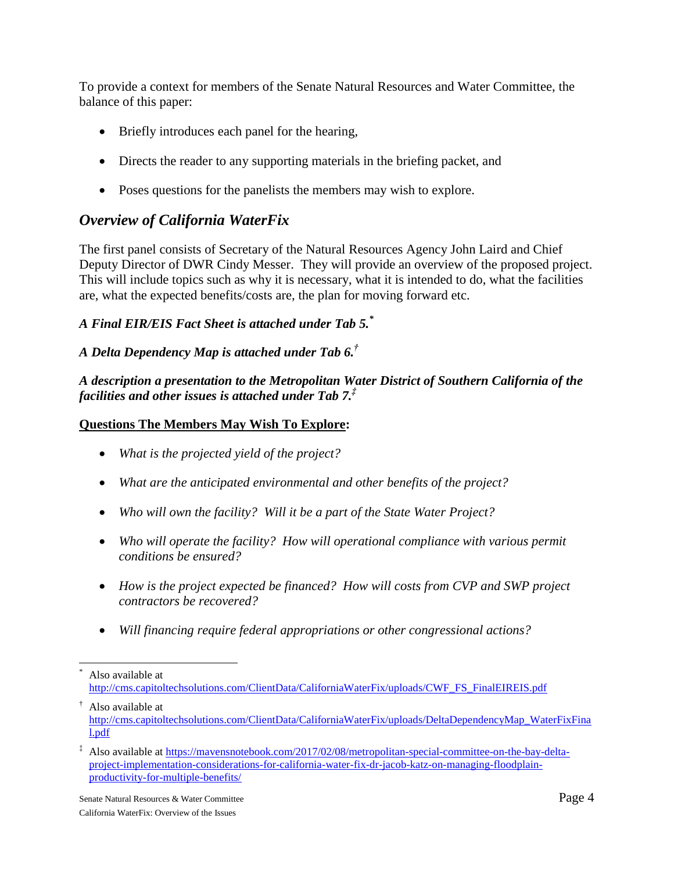To provide a context for members of the Senate Natural Resources and Water Committee, the balance of this paper:

- Briefly introduces each panel for the hearing,
- Directs the reader to any supporting materials in the briefing packet, and
- Poses questions for the panelists the members may wish to explore.

# *Overview of California WaterFix*

The first panel consists of Secretary of the Natural Resources Agency John Laird and Chief Deputy Director of DWR Cindy Messer. They will provide an overview of the proposed project. This will include topics such as why it is necessary, what it is intended to do, what the facilities are, what the expected benefits/costs are, the plan for moving forward etc.

### *A Final EIR/EIS Fact Sheet is attached under Tab 5. \**

### *A Delta Dependency Map is attached under Tab 6. †*

*A description a presentation to the Metropolitan Water District of Southern California of the facilities and other issues is attached under Tab 7. ‡*

### **Questions The Members May Wish To Explore:**

- *What is the projected yield of the project?*
- *What are the anticipated environmental and other benefits of the project?*
- *Who will own the facility? Will it be a part of the State Water Project?*
- Who will operate the facility? How will operational compliance with various permit *conditions be ensured?*
- *How is the project expected be financed? How will costs from CVP and SWP project contractors be recovered?*
- *Will financing require federal appropriations or other congressional actions?*

l Also available at [http://cms.capitoltechsolutions.com/ClientData/CaliforniaWaterFix/uploads/CWF\\_FS\\_FinalEIREIS.pdf](http://cms.capitoltechsolutions.com/ClientData/CaliforniaWaterFix/uploads/CWF_FS_FinalEIREIS.pdf)

<sup>†</sup> Also available at [http://cms.capitoltechsolutions.com/ClientData/CaliforniaWaterFix/uploads/DeltaDependencyMap\\_WaterFixFina](http://cms.capitoltechsolutions.com/ClientData/CaliforniaWaterFix/uploads/DeltaDependencyMap_WaterFixFinal.pdf) [l.pdf](http://cms.capitoltechsolutions.com/ClientData/CaliforniaWaterFix/uploads/DeltaDependencyMap_WaterFixFinal.pdf)

<sup>‡</sup> Also available a[t https://mavensnotebook.com/2017/02/08/metropolitan-special-committee-on-the-bay-delta](https://mavensnotebook.com/2017/02/08/metropolitan-special-committee-on-the-bay-delta-project-implementation-considerations-for-california-water-fix-dr-jacob-katz-on-managing-floodplain-productivity-for-multiple-benefits/)[project-implementation-considerations-for-california-water-fix-dr-jacob-katz-on-managing-floodplain](https://mavensnotebook.com/2017/02/08/metropolitan-special-committee-on-the-bay-delta-project-implementation-considerations-for-california-water-fix-dr-jacob-katz-on-managing-floodplain-productivity-for-multiple-benefits/)[productivity-for-multiple-benefits/](https://mavensnotebook.com/2017/02/08/metropolitan-special-committee-on-the-bay-delta-project-implementation-considerations-for-california-water-fix-dr-jacob-katz-on-managing-floodplain-productivity-for-multiple-benefits/)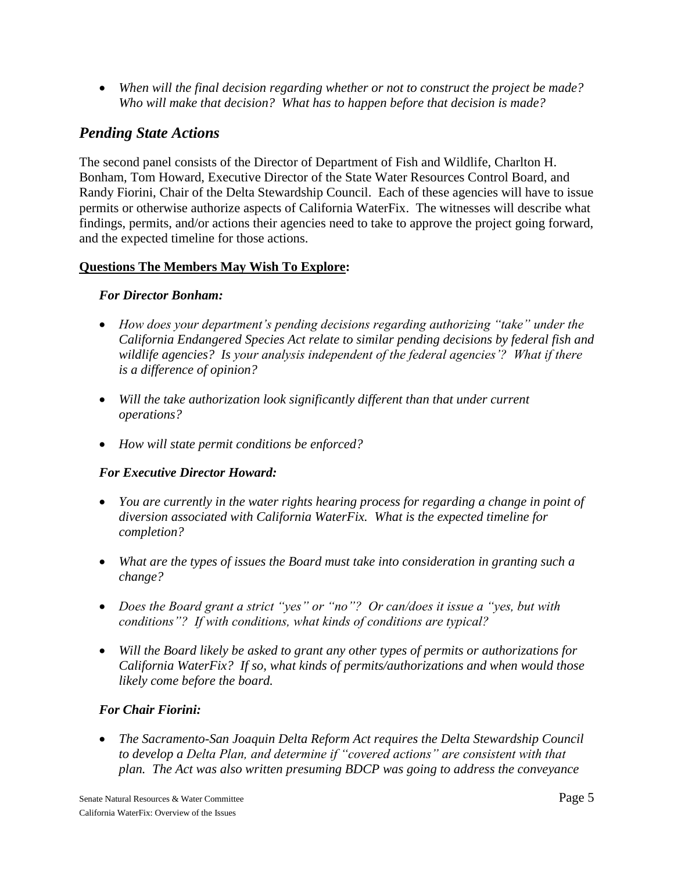*When will the final decision regarding whether or not to construct the project be made? Who will make that decision? What has to happen before that decision is made?*

### *Pending State Actions*

The second panel consists of the Director of Department of Fish and Wildlife, Charlton H. Bonham, Tom Howard, Executive Director of the State Water Resources Control Board, and Randy Fiorini, Chair of the Delta Stewardship Council. Each of these agencies will have to issue permits or otherwise authorize aspects of California WaterFix. The witnesses will describe what findings, permits, and/or actions their agencies need to take to approve the project going forward, and the expected timeline for those actions.

### **Questions The Members May Wish To Explore:**

### *For Director Bonham:*

- *How does your department's pending decisions regarding authorizing "take" under the California Endangered Species Act relate to similar pending decisions by federal fish and wildlife agencies? Is your analysis independent of the federal agencies'? What if there is a difference of opinion?*
- *Will the take authorization look significantly different than that under current operations?*
- *How will state permit conditions be enforced?*

### *For Executive Director Howard:*

- *You are currently in the water rights hearing process for regarding a change in point of diversion associated with California WaterFix. What is the expected timeline for completion?*
- *What are the types of issues the Board must take into consideration in granting such a change?*
- *Does the Board grant a strict "yes" or "no"? Or can/does it issue a "yes, but with conditions"? If with conditions, what kinds of conditions are typical?*
- Will the Board likely be asked to grant any other types of permits or *authorizations* for *California WaterFix? If so, what kinds of permits/authorizations and when would those likely come before the board.*

### *For Chair Fiorini:*

 *The Sacramento-San Joaquin Delta Reform Act requires the Delta Stewardship Council to develop a Delta Plan, and determine if "covered actions" are consistent with that plan. The Act was also written presuming BDCP was going to address the conveyance*